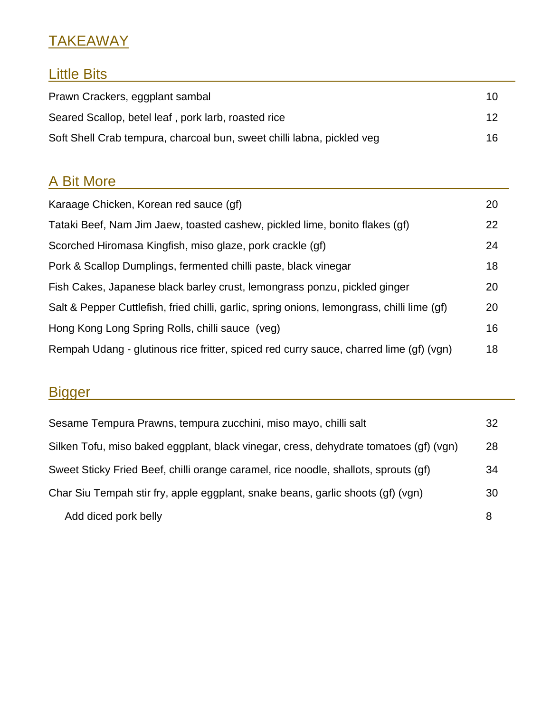## **TAKEAWAY**

### Little Bits\_\_\_\_\_\_\_\_\_\_\_\_\_\_\_\_\_\_\_\_\_\_\_\_\_\_\_\_\_\_\_\_\_\_\_\_\_\_\_\_\_\_\_\_\_\_\_\_\_\_\_

| Prawn Crackers, eggplant sambal                                        | 10. |
|------------------------------------------------------------------------|-----|
| Seared Scallop, betel leaf, pork larb, roasted rice                    | 12  |
| Soft Shell Crab tempura, charcoal bun, sweet chilli labna, pickled veg | 16. |

### A Bit More

| Karaage Chicken, Korean red sauce (gf)                                                      | 20 |
|---------------------------------------------------------------------------------------------|----|
| Tataki Beef, Nam Jim Jaew, toasted cashew, pickled lime, bonito flakes (gf)                 | 22 |
| Scorched Hiromasa Kingfish, miso glaze, pork crackle (gf)                                   | 24 |
| Pork & Scallop Dumplings, fermented chilli paste, black vinegar                             | 18 |
| Fish Cakes, Japanese black barley crust, lemongrass ponzu, pickled ginger                   | 20 |
| Salt & Pepper Cuttlefish, fried chilli, garlic, spring onions, lemongrass, chilli lime (gf) | 20 |
| Hong Kong Long Spring Rolls, chilli sauce (veg)                                             | 16 |
| Rempah Udang - glutinous rice fritter, spiced red curry sauce, charred lime (gf) (vgn)      | 18 |

# Bigger\_\_\_\_\_\_\_\_\_\_\_\_\_\_\_\_\_\_\_\_\_\_\_\_\_\_\_\_\_\_\_\_\_\_\_\_\_\_\_\_\_\_\_\_\_\_\_\_\_\_\_\_\_

| Sesame Tempura Prawns, tempura zucchini, miso mayo, chilli salt                       | 32 |
|---------------------------------------------------------------------------------------|----|
| Silken Tofu, miso baked eggplant, black vinegar, cress, dehydrate tomatoes (gf) (vgn) | 28 |
| Sweet Sticky Fried Beef, chilli orange caramel, rice noodle, shallots, sprouts (gf)   | 34 |
| Char Siu Tempah stir fry, apple eggplant, snake beans, garlic shoots (gf) (vgn)       | 30 |
| Add diced pork belly                                                                  | 8  |